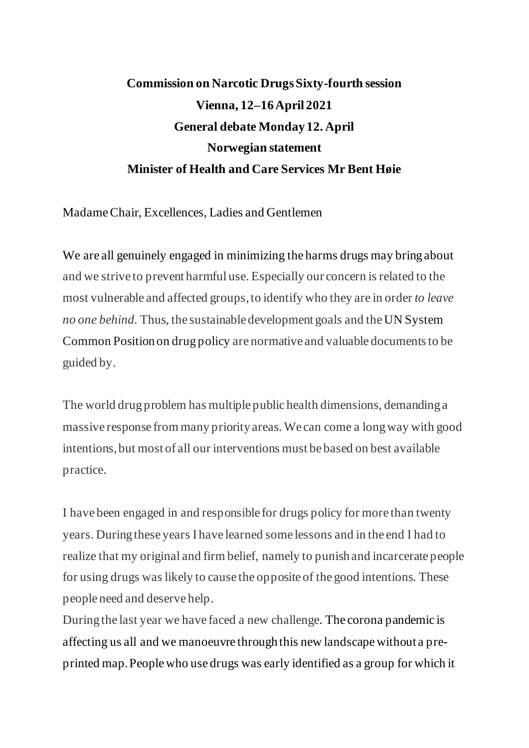## **Commission on Narcotic Drugs Sixty-fourth session Vienna, 12–16 April 2021 General debate Monday 12. April Norwegian statement Minister of Health and Care Services Mr Bent Høie**

Madame Chair, Excellences, Ladies and Gentlemen

We are all genuinely engaged in minimizing the harms drugs may bring about and we strive to prevent harmful use. Especially our concern is related to the most vulnerable and affected groups, to identify who they are in order *to leave no one behind.* Thus, the sustainable development goals and the UN System Common Position on drug policy are normative and valuable documents to be guided by.

The world drug problem has multiple public health dimensions, demanding a massive response from many priority areas. We can come a long way with good intentions, but most of all our interventions must be based on best available practice.

I have been engaged in and responsible for drugs policy for more than twenty years. During these years I have learned some lessons and in the end I had to realize that my original and firm belief, namely to punish and incarcerate people for using drugs waslikely to cause the opposite of the good intentions. These people need and deserve help.

During the last year we have faced a new challenge. The corona pandemic is affecting us all and we manoeuvre through this new landscape without a preprinted map.People who use drugs was early identified as a group for which it